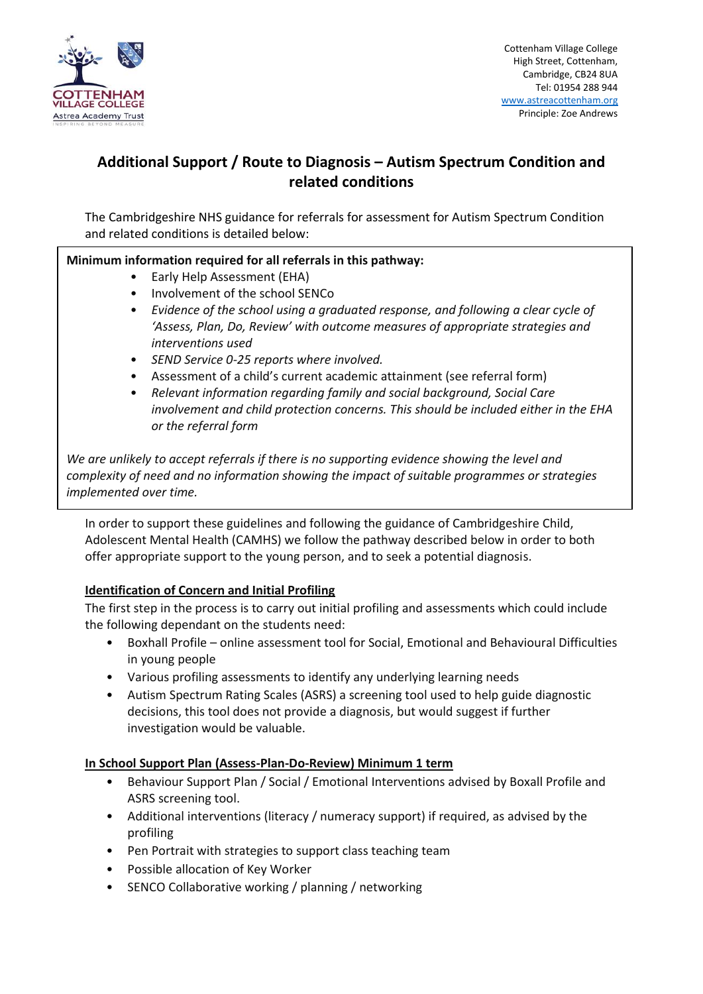

# **Additional Support / Route to Diagnosis – Autism Spectrum Condition and related conditions**

The Cambridgeshire NHS guidance for referrals for assessment for Autism Spectrum Condition and related conditions is detailed below:

## **Minimum information required for all referrals in this pathway:**

- Early Help Assessment (EHA)
- Involvement of the school SENCo
- *Evidence of the school using a graduated response, and following a clear cycle of 'Assess, Plan, Do, Review' with outcome measures of appropriate strategies and interventions used*
- *SEND Service 0-25 reports where involved.*
- Assessment of a child's current academic attainment (see referral form)
- *Relevant information regarding family and social background, Social Care involvement and child protection concerns. This should be included either in the EHA or the referral form*

*We are unlikely to accept referrals if there is no supporting evidence showing the level and complexity of need and no information showing the impact of suitable programmes or strategies implemented over time.*

In order to support these guidelines and following the guidance of Cambridgeshire Child, Adolescent Mental Health (CAMHS) we follow the pathway described below in order to both offer appropriate support to the young person, and to seek a potential diagnosis.

### **Identification of Concern and Initial Profiling**

The first step in the process is to carry out initial profiling and assessments which could include the following dependant on the students need:

- Boxhall Profile online assessment tool for Social, Emotional and Behavioural Difficulties in young people
- Various profiling assessments to identify any underlying learning needs
- Autism Spectrum Rating Scales (ASRS) a screening tool used to help guide diagnostic decisions, this tool does not provide a diagnosis, but would suggest if further investigation would be valuable.

### **In School Support Plan (Assess-Plan-Do-Review) Minimum 1 term**

- Behaviour Support Plan / Social / Emotional Interventions advised by Boxall Profile and ASRS screening tool.
- Additional interventions (literacy / numeracy support) if required, as advised by the profiling
- Pen Portrait with strategies to support class teaching team
- Possible allocation of Key Worker
- SENCO Collaborative working / planning / networking